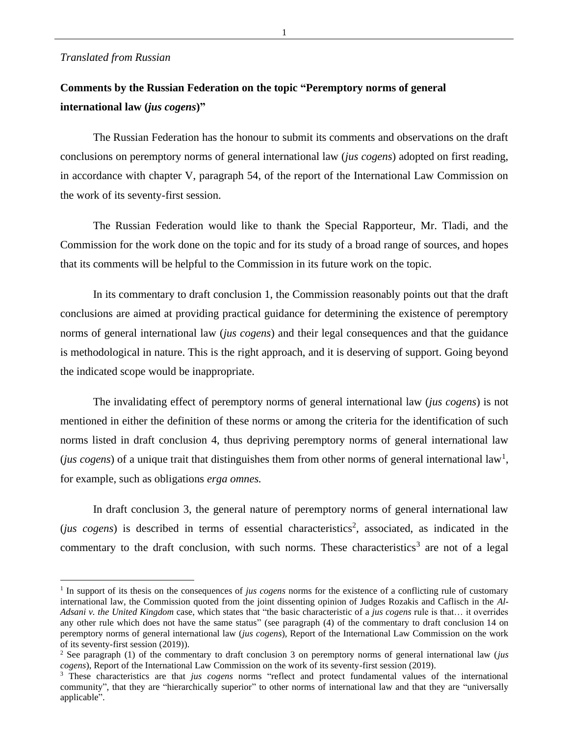## *Translated from Russian*

## **Comments by the Russian Federation on the topic "Peremptory norms of general international law (***jus cogens***)"**

The Russian Federation has the honour to submit its comments and observations on the draft conclusions on peremptory norms of general international law (*jus cogens*) adopted on first reading, in accordance with chapter V, paragraph 54, of the report of the International Law Commission on the work of its seventy-first session.

The Russian Federation would like to thank the Special Rapporteur, Mr. Tladi, and the Commission for the work done on the topic and for its study of a broad range of sources, and hopes that its comments will be helpful to the Commission in its future work on the topic.

In its commentary to draft conclusion 1, the Commission reasonably points out that the draft conclusions are aimed at providing practical guidance for determining the existence of peremptory norms of general international law (*jus cogens*) and their legal consequences and that the guidance is methodological in nature. This is the right approach, and it is deserving of support. Going beyond the indicated scope would be inappropriate.

The invalidating effect of peremptory norms of general international law (*jus cogens*) is not mentioned in either the definition of these norms or among the criteria for the identification of such norms listed in draft conclusion 4, thus depriving peremptory norms of general international law (*jus cogens*) of a unique trait that distinguishes them from other norms of general international law<sup>1</sup>, for example, such as obligations *erga omnes.*

In draft conclusion 3, the general nature of peremptory norms of general international law (*jus cogens*) is described in terms of essential characteristics<sup>2</sup>, associated, as indicated in the commentary to the draft conclusion, with such norms. These characteristics<sup>3</sup> are not of a legal

<sup>&</sup>lt;sup>1</sup> In support of its thesis on the consequences of *jus cogens* norms for the existence of a conflicting rule of customary international law, the Commission quoted from the joint dissenting opinion of Judges Rozakis and Caflisch in the *Al-Adsani v. the United Kingdom* case, which states that "the basic characteristic of a *jus cogens* rule is that… it overrides any other rule which does not have the same status" (see paragraph (4) of the commentary to draft conclusion 14 on peremptory norms of general international law (*jus cogens*), Report of the International Law Commission on the work of its seventy-first session (2019)).

<sup>2</sup> See paragraph (1) of the commentary to draft conclusion 3 on peremptory norms of general international law (*jus cogens*), Report of the International Law Commission on the work of its seventy-first session (2019).

<sup>3</sup> These characteristics are that *jus cogens* norms "reflect and protect fundamental values of the international community", that they are "hierarchically superior" to other norms of international law and that they are "universally applicable".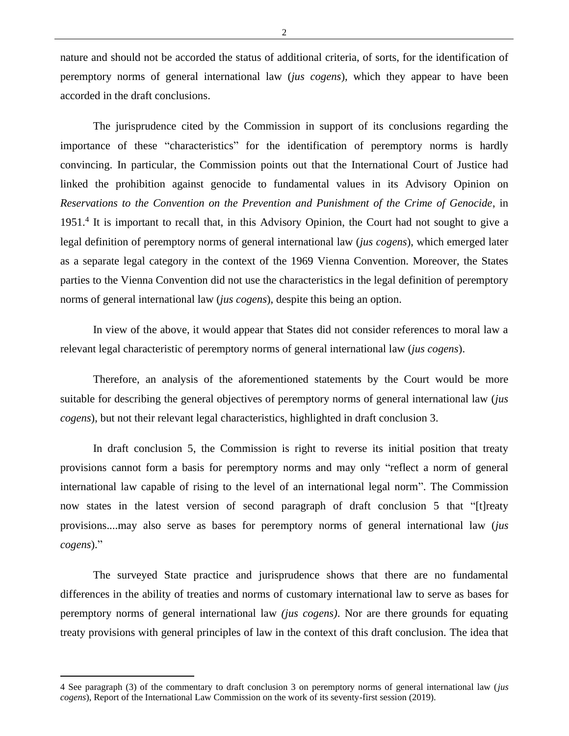nature and should not be accorded the status of additional criteria, of sorts, for the identification of peremptory norms of general international law (*jus cogens*), which they appear to have been accorded in the draft conclusions.

The jurisprudence cited by the Commission in support of its conclusions regarding the importance of these "characteristics" for the identification of peremptory norms is hardly convincing. In particular, the Commission points out that the International Court of Justice had linked the prohibition against genocide to fundamental values in its Advisory Opinion on *Reservations to the Convention on the Prevention and Punishment of the Crime of Genocide*, in 1951.<sup>4</sup> It is important to recall that, in this Advisory Opinion, the Court had not sought to give a legal definition of peremptory norms of general international law (*jus cogens*), which emerged later as a separate legal category in the context of the 1969 Vienna Convention. Moreover, the States parties to the Vienna Convention did not use the characteristics in the legal definition of peremptory norms of general international law (*jus cogens*), despite this being an option.

In view of the above, it would appear that States did not consider references to moral law a relevant legal characteristic of peremptory norms of general international law (*jus cogens*).

Therefore, an analysis of the aforementioned statements by the Court would be more suitable for describing the general objectives of peremptory norms of general international law (*jus cogens*), but not their relevant legal characteristics, highlighted in draft conclusion 3.

In draft conclusion 5, the Commission is right to reverse its initial position that treaty provisions cannot form a basis for peremptory norms and may only "reflect a norm of general international law capable of rising to the level of an international legal norm". The Commission now states in the latest version of second paragraph of draft conclusion 5 that "[t]reaty provisions....may also serve as bases for peremptory norms of general international law (*jus cogens*)."

The surveyed State practice and jurisprudence shows that there are no fundamental differences in the ability of treaties and norms of customary international law to serve as bases for peremptory norms of general international law *(jus cogens)*. Nor are there grounds for equating treaty provisions with general principles of law in the context of this draft conclusion. The idea that

2

<sup>4</sup> See paragraph (3) of the commentary to draft conclusion 3 on peremptory norms of general international law (*jus cogens*), Report of the International Law Commission on the work of its seventy-first session (2019).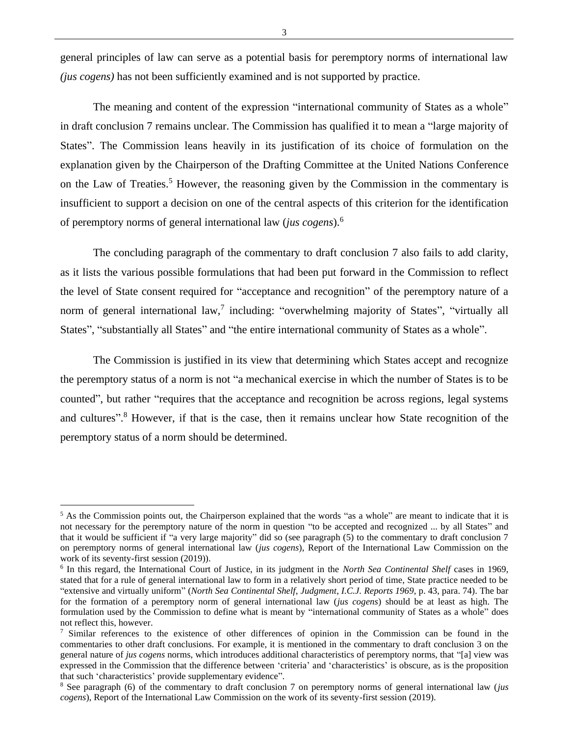general principles of law can serve as a potential basis for peremptory norms of international law *(jus cogens)* has not been sufficiently examined and is not supported by practice.

The meaning and content of the expression "international community of States as a whole" in draft conclusion 7 remains unclear. The Commission has qualified it to mean a "large majority of States". The Commission leans heavily in its justification of its choice of formulation on the explanation given by the Chairperson of the Drafting Committee at the United Nations Conference on the Law of Treaties.<sup>5</sup> However, the reasoning given by the Commission in the commentary is insufficient to support a decision on one of the central aspects of this criterion for the identification of peremptory norms of general international law (*jus cogens*).<sup>6</sup>

The concluding paragraph of the commentary to draft conclusion 7 also fails to add clarity, as it lists the various possible formulations that had been put forward in the Commission to reflect the level of State consent required for "acceptance and recognition" of the peremptory nature of a norm of general international law,<sup>7</sup> including: "overwhelming majority of States", "virtually all States", "substantially all States" and "the entire international community of States as a whole".

The Commission is justified in its view that determining which States accept and recognize the peremptory status of a norm is not "a mechanical exercise in which the number of States is to be counted", but rather "requires that the acceptance and recognition be across regions, legal systems and cultures". <sup>8</sup> However, if that is the case, then it remains unclear how State recognition of the peremptory status of a norm should be determined.

 $<sup>5</sup>$  As the Commission points out, the Chairperson explained that the words "as a whole" are meant to indicate that it is</sup> not necessary for the peremptory nature of the norm in question "to be accepted and recognized ... by all States" and that it would be sufficient if "a very large majority" did so (see paragraph (5) to the commentary to draft conclusion 7 on peremptory norms of general international law (*jus cogens*), Report of the International Law Commission on the work of its seventy-first session (2019)).

<sup>6</sup> In this regard, the International Court of Justice, in its judgment in the *North Sea Continental Shelf* cases in 1969, stated that for a rule of general international law to form in a relatively short period of time, State practice needed to be "extensive and virtually uniform" (*North Sea Continental Shelf*, *Judgment*, *I.C.J. Reports 1969*, p. 43, para. 74). The bar for the formation of a peremptory norm of general international law (*jus cogens*) should be at least as high. The formulation used by the Commission to define what is meant by "international community of States as a whole" does not reflect this, however.

 $\frac{7}{1}$  Similar references to the existence of other differences of opinion in the Commission can be found in the commentaries to other draft conclusions. For example, it is mentioned in the commentary to draft conclusion 3 on the general nature of *jus cogens* norms, which introduces additional characteristics of peremptory norms, that "[a] view was expressed in the Commission that the difference between 'criteria' and 'characteristics' is obscure, as is the proposition that such 'characteristics' provide supplementary evidence".

<sup>8</sup> See paragraph (6) of the commentary to draft conclusion 7 on peremptory norms of general international law (*jus cogens*), Report of the International Law Commission on the work of its seventy-first session (2019).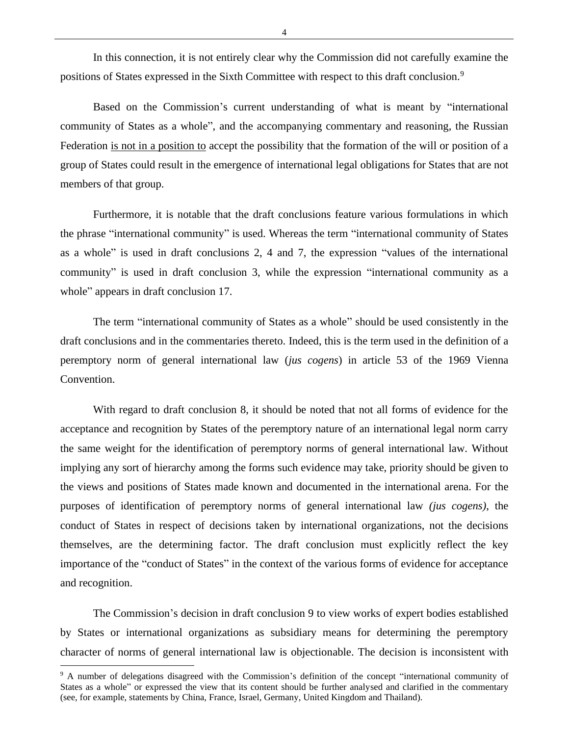In this connection, it is not entirely clear why the Commission did not carefully examine the positions of States expressed in the Sixth Committee with respect to this draft conclusion.<sup>9</sup>

Based on the Commission's current understanding of what is meant by "international community of States as a whole", and the accompanying commentary and reasoning, the Russian Federation is not in a position to accept the possibility that the formation of the will or position of a group of States could result in the emergence of international legal obligations for States that are not members of that group.

Furthermore, it is notable that the draft conclusions feature various formulations in which the phrase "international community" is used. Whereas the term "international community of States as a whole" is used in draft conclusions 2, 4 and 7, the expression "values of the international community" is used in draft conclusion 3, while the expression "international community as a whole" appears in draft conclusion 17.

The term "international community of States as a whole" should be used consistently in the draft conclusions and in the commentaries thereto. Indeed, this is the term used in the definition of a peremptory norm of general international law (*jus cogens*) in article 53 of the 1969 Vienna Convention.

With regard to draft conclusion 8, it should be noted that not all forms of evidence for the acceptance and recognition by States of the peremptory nature of an international legal norm carry the same weight for the identification of peremptory norms of general international law. Without implying any sort of hierarchy among the forms such evidence may take, priority should be given to the views and positions of States made known and documented in the international arena. For the purposes of identification of peremptory norms of general international law *(jus cogens)*, the conduct of States in respect of decisions taken by international organizations, not the decisions themselves, are the determining factor. The draft conclusion must explicitly reflect the key importance of the "conduct of States" in the context of the various forms of evidence for acceptance and recognition.

The Commission's decision in draft conclusion 9 to view works of expert bodies established by States or international organizations as subsidiary means for determining the peremptory character of norms of general international law is objectionable. The decision is inconsistent with

<sup>9</sup> A number of delegations disagreed with the Commission's definition of the concept "international community of States as a whole" or expressed the view that its content should be further analysed and clarified in the commentary (see, for example, statements by China, France, Israel, Germany, United Kingdom and Thailand).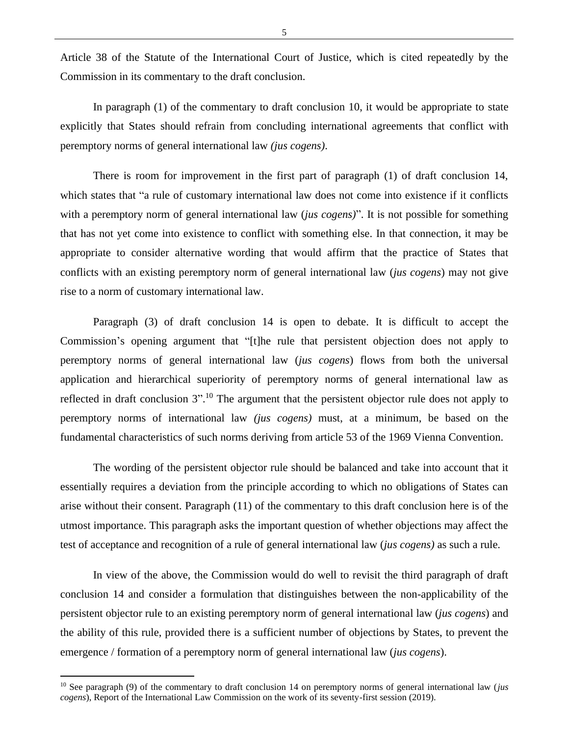Article 38 of the Statute of the International Court of Justice, which is cited repeatedly by the Commission in its commentary to the draft conclusion.

In paragraph (1) of the commentary to draft conclusion 10, it would be appropriate to state explicitly that States should refrain from concluding international agreements that conflict with peremptory norms of general international law *(jus cogens)*.

There is room for improvement in the first part of paragraph (1) of draft conclusion 14, which states that "a rule of customary international law does not come into existence if it conflicts with a peremptory norm of general international law (*jus cogens)*". It is not possible for something that has not yet come into existence to conflict with something else. In that connection, it may be appropriate to consider alternative wording that would affirm that the practice of States that conflicts with an existing peremptory norm of general international law (*jus cogens*) may not give rise to a norm of customary international law.

Paragraph (3) of draft conclusion 14 is open to debate. It is difficult to accept the Commission's opening argument that "[t]he rule that persistent objection does not apply to peremptory norms of general international law (*jus cogens*) flows from both the universal application and hierarchical superiority of peremptory norms of general international law as reflected in draft conclusion  $3$ ".<sup>10</sup> The argument that the persistent objector rule does not apply to peremptory norms of international law *(jus cogens)* must, at a minimum, be based on the fundamental characteristics of such norms deriving from article 53 of the 1969 Vienna Convention.

The wording of the persistent objector rule should be balanced and take into account that it essentially requires a deviation from the principle according to which no obligations of States can arise without their consent. Paragraph (11) of the commentary to this draft conclusion here is of the utmost importance. This paragraph asks the important question of whether objections may affect the test of acceptance and recognition of a rule of general international law (*jus cogens)* as such a rule.

In view of the above, the Commission would do well to revisit the third paragraph of draft conclusion 14 and consider a formulation that distinguishes between the non-applicability of the persistent objector rule to an existing peremptory norm of general international law (*jus cogens*) and the ability of this rule, provided there is a sufficient number of objections by States, to prevent the emergence / formation of a peremptory norm of general international law (*jus cogens*).

<sup>10</sup> See paragraph (9) of the commentary to draft conclusion 14 on peremptory norms of general international law (*jus cogens*), Report of the International Law Commission on the work of its seventy-first session (2019).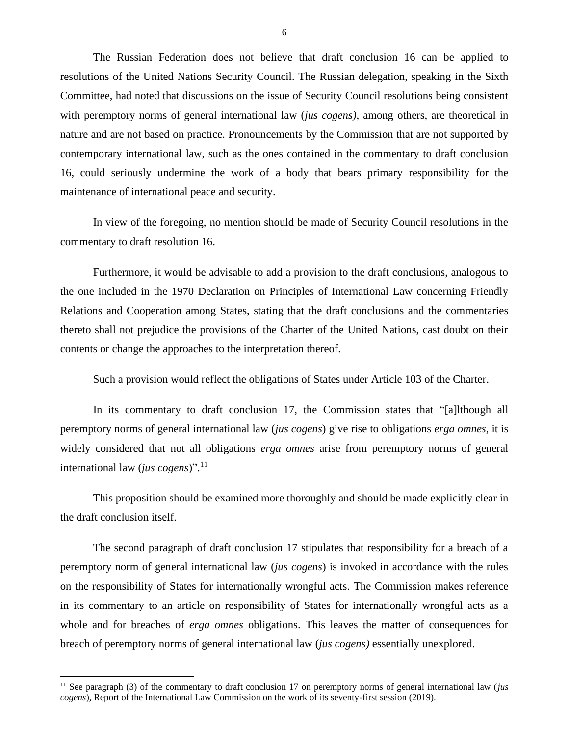The Russian Federation does not believe that draft conclusion 16 can be applied to resolutions of the United Nations Security Council. The Russian delegation, speaking in the Sixth Committee, had noted that discussions on the issue of Security Council resolutions being consistent with peremptory norms of general international law (*jus cogens)*, among others, are theoretical in nature and are not based on practice. Pronouncements by the Commission that are not supported by contemporary international law, such as the ones contained in the commentary to draft conclusion 16, could seriously undermine the work of a body that bears primary responsibility for the maintenance of international peace and security.

In view of the foregoing, no mention should be made of Security Council resolutions in the commentary to draft resolution 16.

Furthermore, it would be advisable to add a provision to the draft conclusions, analogous to the one included in the 1970 Declaration on Principles of International Law concerning Friendly Relations and Cooperation among States, stating that the draft conclusions and the commentaries thereto shall not prejudice the provisions of the Charter of the United Nations, cast doubt on their contents or change the approaches to the interpretation thereof.

Such a provision would reflect the obligations of States under Article 103 of the Charter.

In its commentary to draft conclusion 17, the Commission states that "[a]lthough all peremptory norms of general international law (*jus cogens*) give rise to obligations *erga omnes*, it is widely considered that not all obligations *erga omnes* arise from peremptory norms of general international law (*jus cogens*)". 11

This proposition should be examined more thoroughly and should be made explicitly clear in the draft conclusion itself.

The second paragraph of draft conclusion 17 stipulates that responsibility for a breach of a peremptory norm of general international law (*jus cogens*) is invoked in accordance with the rules on the responsibility of States for internationally wrongful acts. The Commission makes reference in its commentary to an article on responsibility of States for internationally wrongful acts as a whole and for breaches of *erga omnes* obligations. This leaves the matter of consequences for breach of peremptory norms of general international law (*jus cogens)* essentially unexplored.

<sup>&</sup>lt;sup>11</sup> See paragraph (3) of the commentary to draft conclusion 17 on peremptory norms of general international law (*jus cogens*), Report of the International Law Commission on the work of its seventy-first session (2019).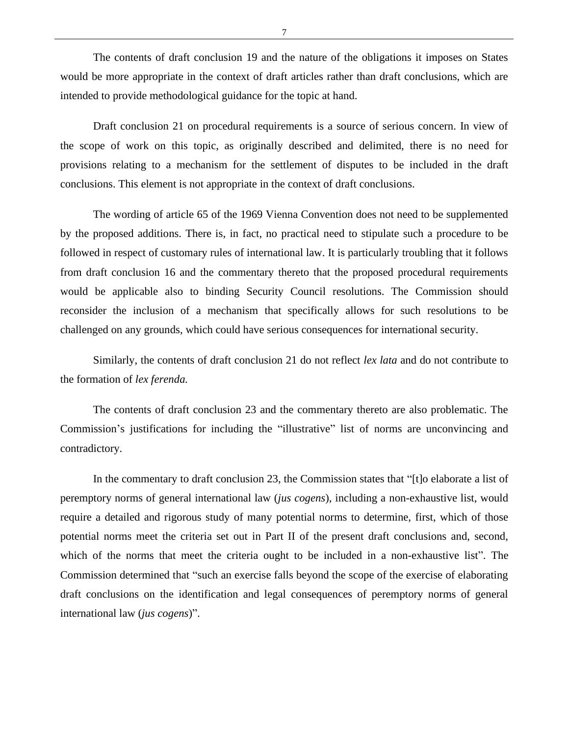The contents of draft conclusion 19 and the nature of the obligations it imposes on States would be more appropriate in the context of draft articles rather than draft conclusions, which are intended to provide methodological guidance for the topic at hand.

Draft conclusion 21 on procedural requirements is a source of serious concern. In view of the scope of work on this topic, as originally described and delimited, there is no need for provisions relating to a mechanism for the settlement of disputes to be included in the draft conclusions. This element is not appropriate in the context of draft conclusions.

The wording of article 65 of the 1969 Vienna Convention does not need to be supplemented by the proposed additions. There is, in fact, no practical need to stipulate such a procedure to be followed in respect of customary rules of international law. It is particularly troubling that it follows from draft conclusion 16 and the commentary thereto that the proposed procedural requirements would be applicable also to binding Security Council resolutions. The Commission should reconsider the inclusion of a mechanism that specifically allows for such resolutions to be challenged on any grounds, which could have serious consequences for international security.

Similarly, the contents of draft conclusion 21 do not reflect *lex lata* and do not contribute to the formation of *lex ferenda.*

The contents of draft conclusion 23 and the commentary thereto are also problematic. The Commission's justifications for including the "illustrative" list of norms are unconvincing and contradictory.

In the commentary to draft conclusion 23, the Commission states that "[t]o elaborate a list of peremptory norms of general international law (*jus cogens*), including a non-exhaustive list, would require a detailed and rigorous study of many potential norms to determine, first, which of those potential norms meet the criteria set out in Part II of the present draft conclusions and, second, which of the norms that meet the criteria ought to be included in a non-exhaustive list". The Commission determined that "such an exercise falls beyond the scope of the exercise of elaborating draft conclusions on the identification and legal consequences of peremptory norms of general international law (*jus cogens*)".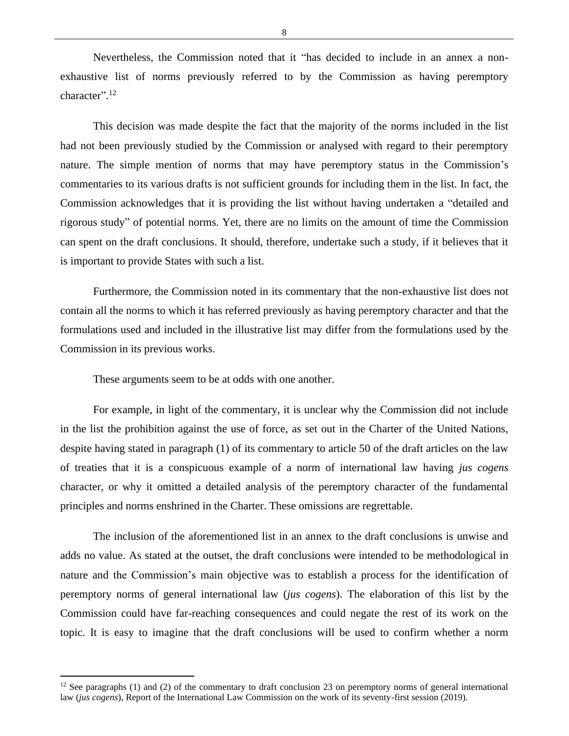Nevertheless, the Commission noted that it "has decided to include in an annex a nonexhaustive list of norms previously referred to by the Commission as having peremptory character".<sup>12</sup>

This decision was made despite the fact that the majority of the norms included in the list had not been previously studied by the Commission or analysed with regard to their peremptory nature. The simple mention of norms that may have peremptory status in the Commission's commentaries to its various drafts is not sufficient grounds for including them in the list. In fact, the Commission acknowledges that it is providing the list without having undertaken a "detailed and rigorous study" of potential norms. Yet, there are no limits on the amount of time the Commission can spent on the draft conclusions. It should, therefore, undertake such a study, if it believes that it is important to provide States with such a list.

Furthermore, the Commission noted in its commentary that the non-exhaustive list does not contain all the norms to which it has referred previously as having peremptory character and that the formulations used and included in the illustrative list may differ from the formulations used by the Commission in its previous works.

These arguments seem to be at odds with one another.

For example, in light of the commentary, it is unclear why the Commission did not include in the list the prohibition against the use of force, as set out in the Charter of the United Nations, despite having stated in paragraph (1) of its commentary to article 50 of the draft articles on the law of treaties that it is a conspicuous example of a norm of international law having *jus cogens*  character, or why it omitted a detailed analysis of the peremptory character of the fundamental principles and norms enshrined in the Charter. These omissions are regrettable.

The inclusion of the aforementioned list in an annex to the draft conclusions is unwise and adds no value. As stated at the outset, the draft conclusions were intended to be methodological in nature and the Commission's main objective was to establish a process for the identification of peremptory norms of general international law (*jus cogens*). The elaboration of this list by the Commission could have far-reaching consequences and could negate the rest of its work on the topic. It is easy to imagine that the draft conclusions will be used to confirm whether a norm

8

 $12$  See paragraphs (1) and (2) of the commentary to draft conclusion 23 on peremptory norms of general international law (*jus cogens*), Report of the International Law Commission on the work of its seventy-first session (2019).